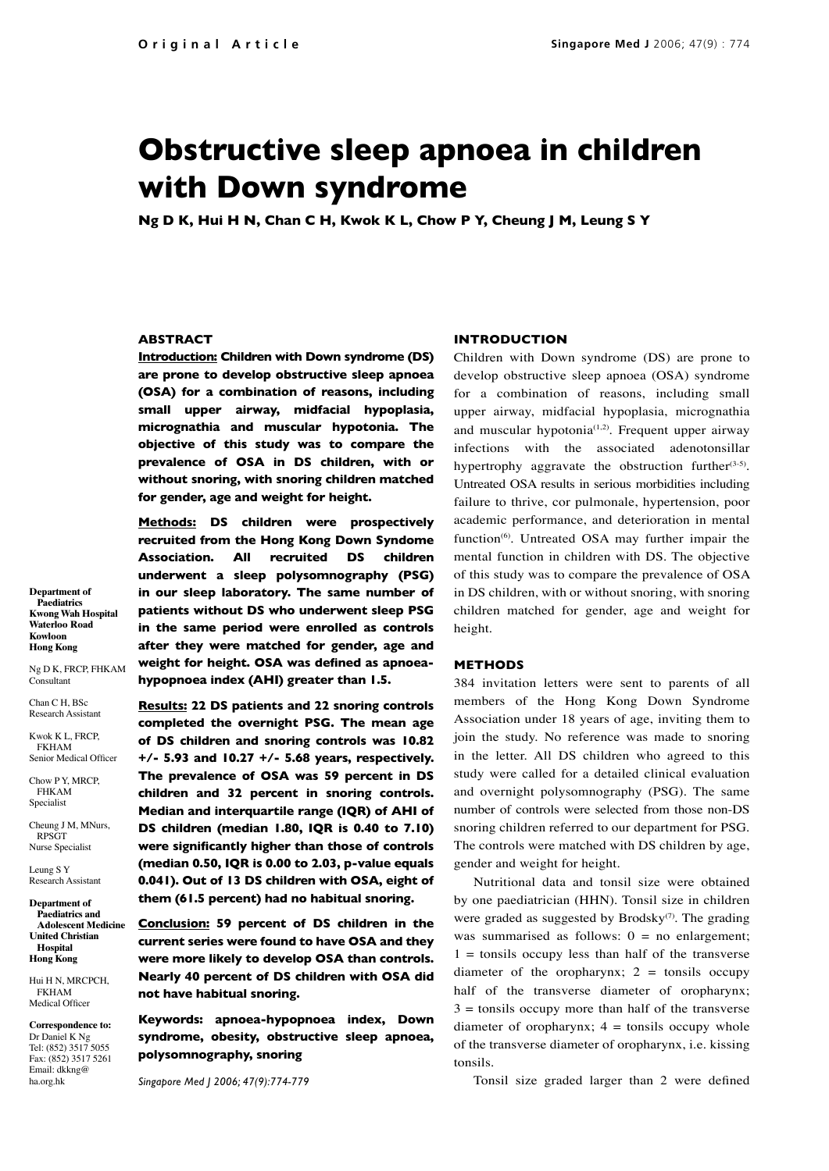# **Obstructive sleep apnoea in children with Down syndrome**

**Ng D K, Hui H N, Chan C H, Kwok K L, Chow P Y, Cheung J M, Leung S Y**

# **ABSTRACT**

**Introduction: Children with Down syndrome (DS) are prone to develop obstructive sleep apnoea (OSA) for a combination of reasons, including small upper airway, midfacial hypoplasia, micrognathia and muscular hypotonia. The objective of this study was to compare the prevalence of OSA in DS children, with or without snoring, with snoring children matched for gender, age and weight for height.**

**Methods: DS children were prospectively recruited from the Hong Kong Down Syndome Association. All recruited DS children underwent a sleep polysomnography (PSG) in our sleep laboratory. The same number of patients without DS who underwent sleep PSG in the same period were enrolled as controls after they were matched for gender, age and weight for height. OSA was defined as apnoeahypopnoea index (AHI) greater than 1.5.**

**Results: 22 DS patients and 22 snoring controls completed the overnight PSG. The mean age of DS children and snoring controls was 10.82 +/- 5.93 and 10.27 +/- 5.68 years, respectively. The prevalence of OSA was 59 percent in DS children and 32 percent in snoring controls. Median and interquartile range (IQR) of AHI of DS children (median 1.80, IQR is 0.40 to 7.10) were significantly higher than those of controls (median 0.50, IQR is 0.00 to 2.03, p-value equals 0.041). Out of 13 DS children with OSA, eight of them (61.5 percent) had no habitual snoring.** 

**Conclusion: 59 percent of DS children in the current series were found to have OSA and they were more likely to develop OSA than controls. Nearly 40 percent of DS children with OSA did not have habitual snoring.** 

**Keywords: apnoea-hypopnoea index, Down syndrome, obesity, obstructive sleep apnoea, polysomnography, snoring**

*Singapore Med J 2006; 47(9):774-779*

#### **INTRODUCTION**

Children with Down syndrome (DS) are prone to develop obstructive sleep apnoea (OSA) syndrome for a combination of reasons, including small upper airway, midfacial hypoplasia, micrognathia and muscular hypotonia<sup> $(1,2)$ </sup>. Frequent upper airway infections with the associated adenotonsillar hypertrophy aggravate the obstruction further $(3-5)$ . Untreated OSA results in serious morbidities including failure to thrive, cor pulmonale, hypertension, poor academic performance, and deterioration in mental function<sup>(6)</sup>. Untreated OSA may further impair the mental function in children with DS. The objective of this study was to compare the prevalence of OSA in DS children, with or without snoring, with snoring children matched for gender, age and weight for height.

### **METHODS**

384 invitation letters were sent to parents of all members of the Hong Kong Down Syndrome Association under 18 years of age, inviting them to join the study. No reference was made to snoring in the letter. All DS children who agreed to this study were called for a detailed clinical evaluation and overnight polysomnography (PSG). The same number of controls were selected from those non-DS snoring children referred to our department for PSG. The controls were matched with DS children by age, gender and weight for height.

Nutritional data and tonsil size were obtained by one paediatrician (HHN). Tonsil size in children were graded as suggested by Brodsky<sup>(7)</sup>. The grading was summarised as follows:  $0 =$  no enlargement;  $1 =$  tonsils occupy less than half of the transverse diameter of the oropharynx;  $2 =$  tonsils occupy half of the transverse diameter of oropharynx;  $3 =$  tonsils occupy more than half of the transverse diameter of oropharynx;  $4 =$  tonsils occupy whole of the transverse diameter of oropharynx, i.e. kissing tonsils.

Tonsil size graded larger than 2 were defined

**Department of Paediatrics Kwong Wah Hospital Waterloo Road Kowloon Hong Kong**

Ng D K, FRCP, FHKAM Consultant

Chan C<sub>H</sub> BSc Research Assistant

 $K$ wok K L, FRCP FKHAM Senior Medical Officer

Chow P Y, MRCP, FHKAM Specialist

Cheung J M, MNurs, RPSGT Nurse Specialist

Leung S Y Research Assistant

**Department of Paediatrics and Adolescent Medicine United Christian Hospital Hong Kong**

Hui H N, MRCPCH, FKHAM Medical Office

**Correspondence to:**  Dr Daniel K Ng Tel: (852) 3517 5055 Fax: (852) 3517 5261 Email: dkkng@ ha.org.hk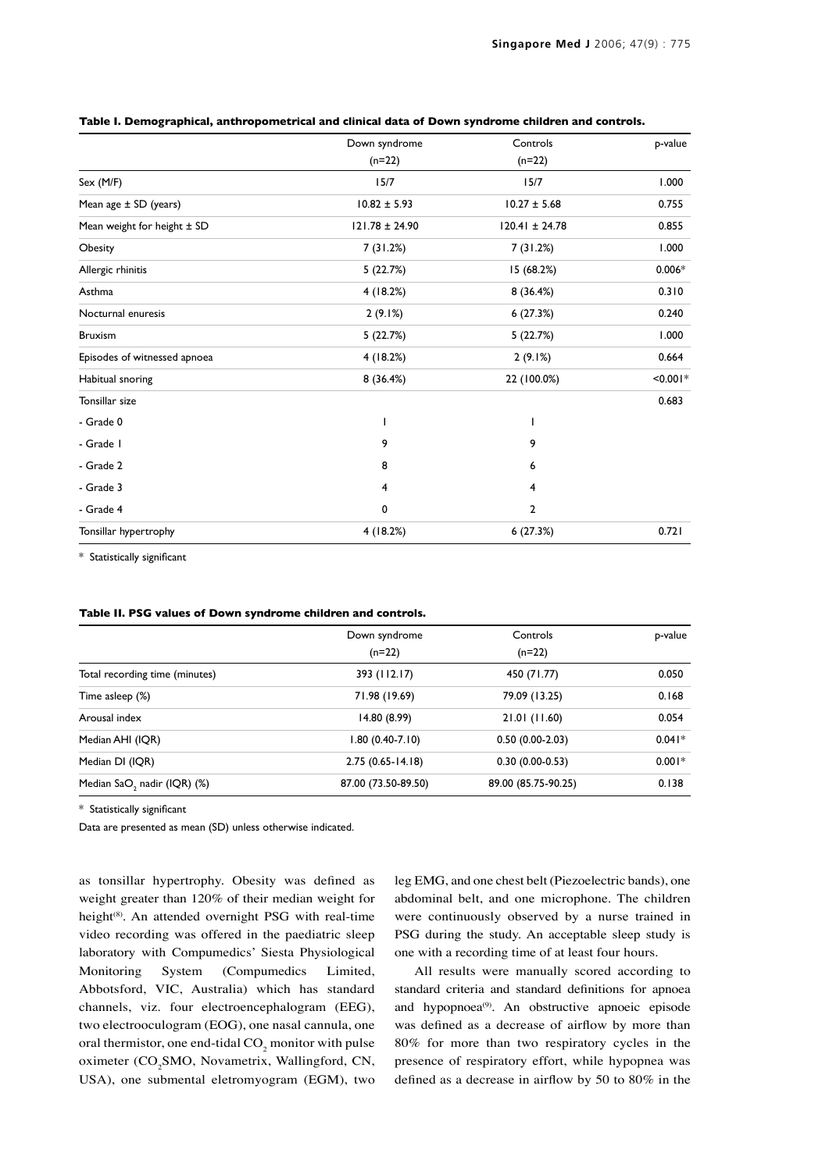|                              | Down syndrome<br>$(n=22)$ | Controls<br>$(n=22)$ | p-value    |
|------------------------------|---------------------------|----------------------|------------|
|                              |                           |                      |            |
| Sex (M/F)                    | 15/7                      | 15/7                 | 1.000      |
| Mean age $\pm$ SD (years)    | $10.82 \pm 5.93$          | $10.27 \pm 5.68$     | 0.755      |
| Mean weight for height ± SD  | $121.78 \pm 24.90$        | $120.41 \pm 24.78$   | 0.855      |
| Obesity                      | 7(31.2%)                  | 7(31.2%)             | 1.000      |
| Allergic rhinitis            | 5(22.7%)                  | 15(68.2%)            | $0.006*$   |
| Asthma                       | 4(18.2%)                  | 8 (36.4%)            | 0.310      |
| Nocturnal enuresis           | 2(9.1%)                   | 6(27.3%)             | 0.240      |
| <b>Bruxism</b>               | 5(22.7%)                  | 5(22.7%)             | 1.000      |
| Episodes of witnessed apnoea | 4(18.2%)                  | 2(9.1%)              | 0.664      |
| Habitual snoring             | 8 (36.4%)                 | 22 (100.0%)          | $< 0.001*$ |
| Tonsillar size               |                           |                      | 0.683      |
| - Grade 0                    |                           |                      |            |
| - Grade I                    | 9                         | 9                    |            |
| - Grade 2                    | 8                         | 6                    |            |
| - Grade 3                    | 4                         | 4                    |            |
| - Grade 4                    | 0                         | 2                    |            |
| Tonsillar hypertrophy        | 4(18.2%)                  | 6(27.3%)             | 0.721      |

#### **Table I. Demographical, anthropometrical and clinical data of Down syndrome children and controls.**

\* Statistically significant

## **Table II. PSG values of Down syndrome children and controls.**

|                                | Down syndrome<br>$(n=22)$ | Controls<br>$(n=22)$ | p-value  |
|--------------------------------|---------------------------|----------------------|----------|
|                                |                           |                      |          |
| Total recording time (minutes) | 393 (112.17)              | 450 (71.77)          | 0.050    |
| Time asleep (%)                | 71.98 (19.69)             | 79.09 (13.25)        | 0.168    |
| Arousal index                  | 14.80 (8.99)              | 21.01 (11.60)        | 0.054    |
| Median AHI (IQR)               | $1.80(0.40-7.10)$         | $0.50(0.00-2.03)$    | $0.041*$ |
| Median DI (IQR)                | $2.75(0.65 - 14.18)$      | $0.30(0.00-0.53)$    | $0.001*$ |
| Median SaO, nadir (IQR) (%)    | 87.00 (73.50-89.50)       | 89.00 (85.75-90.25)  | 0.138    |

\* Statistically significant

Data are presented as mean (SD) unless otherwise indicated.

as tonsillar hypertrophy. Obesity was defined as weight greater than 120% of their median weight for height<sup>(8)</sup>. An attended overnight PSG with real-time video recording was offered in the paediatric sleep laboratory with Compumedics' Siesta Physiological Monitoring System (Compumedics Limited, Abbotsford, VIC, Australia) which has standard channels, viz. four electroencephalogram (EEG), two electrooculogram (EOG), one nasal cannula, one oral thermistor, one end-tidal  $\mathrm{CO}_2$  monitor with pulse oximeter (CO<sub>2</sub>SMO, Novametrix, Wallingford, CN, USA), one submental eletromyogram (EGM), two

leg EMG, and one chest belt (Piezoelectric bands), one abdominal belt, and one microphone. The children were continuously observed by a nurse trained in PSG during the study. An acceptable sleep study is one with a recording time of at least four hours.

All results were manually scored according to standard criteria and standard definitions for apnoea and hypopnoea<sup>(9)</sup>. An obstructive apnoeic episode was defined as a decrease of airflow by more than 80% for more than two respiratory cycles in the presence of respiratory effort, while hypopnea was defined as a decrease in airflow by 50 to 80% in the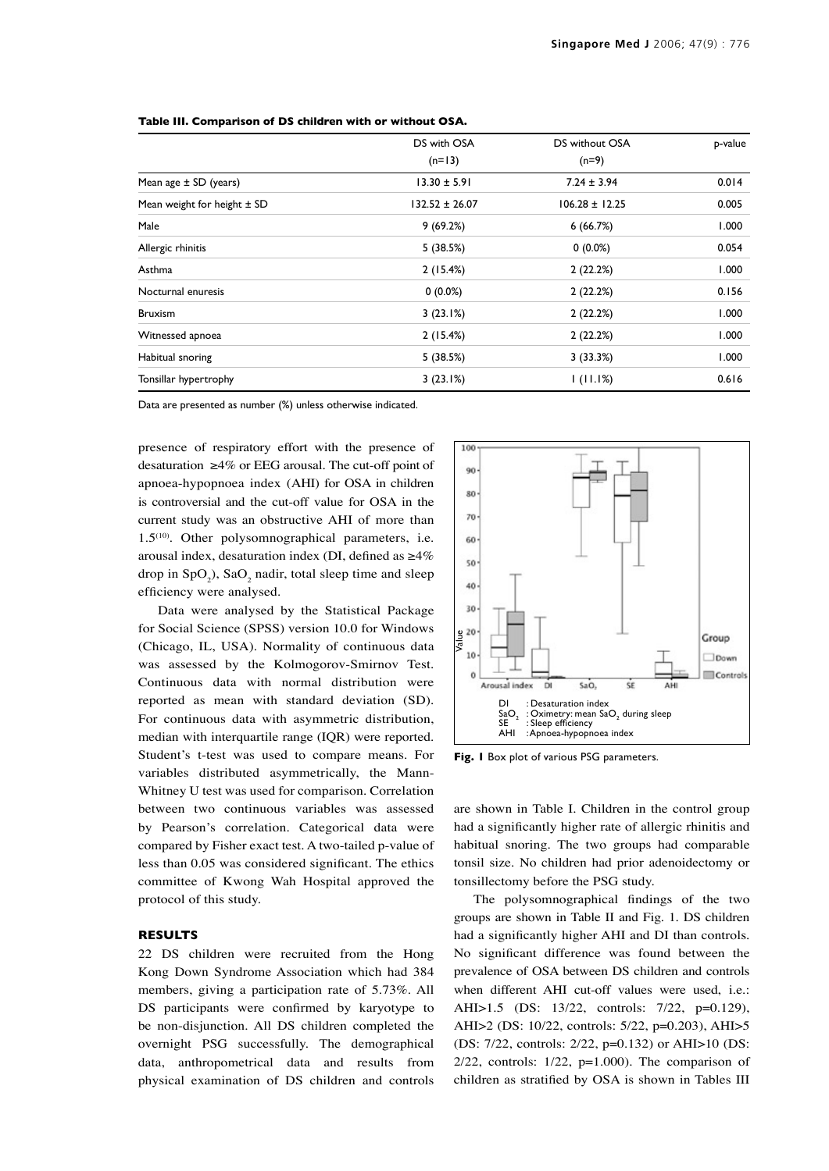|                                 | DS with OSA<br>$(n=13)$ | DS without OSA<br>$(n=9)$ | p-value |
|---------------------------------|-------------------------|---------------------------|---------|
|                                 |                         |                           |         |
| Mean age $\pm$ SD (years)       | $13.30 \pm 5.91$        | $7.24 \pm 3.94$           | 0.014   |
| Mean weight for height $\pm$ SD | 132.52 ± 26.07          | $106.28 \pm 12.25$        | 0.005   |
| Male                            | 9(69.2%)                | 6(66.7%)                  | 1.000   |
| Allergic rhinitis               | 5(38.5%)                | $0(0.0\%)$                | 0.054   |
| Asthma                          | 2(15.4%)                | 2(22.2%)                  | 1.000   |
| Nocturnal enuresis              | $0(0.0\%)$              | 2(22.2%)                  | 0.156   |
| <b>Bruxism</b>                  | 3(23.1%)                | 2(22.2%)                  | 1.000   |
| Witnessed apnoea                | 2(15.4%)                | 2(22.2%)                  | 1.000   |
| Habitual snoring                | 5(38.5%)                | 3(33.3%)                  | 1.000   |
| Tonsillar hypertrophy           | 3(23.1%)                | 1(11.1%)                  | 0.616   |

Data are presented as number (%) unless otherwise indicated.

presence of respiratory effort with the presence of desaturation  $\geq 4\%$  or EEG arousal. The cut-off point of apnoea-hypopnoea index (AHI) for OSA in children is controversial and the cut-off value for OSA in the current study was an obstructive AHI of more than  $1.5<sup>(10)</sup>$ . Other polysomnographical parameters, i.e. arousal index, desaturation index (DI, defined as ≥4% drop in  $SpO<sub>2</sub>$ ),  $SaO<sub>2</sub>$  nadir, total sleep time and sleep efficiency were analysed.

Data were analysed by the Statistical Package for Social Science (SPSS) version 10.0 for Windows (Chicago, IL, USA). Normality of continuous data was assessed by the Kolmogorov-Smirnov Test. Continuous data with normal distribution were reported as mean with standard deviation (SD). For continuous data with asymmetric distribution, median with interquartile range (IQR) were reported. Student's t-test was used to compare means. For variables distributed asymmetrically, the Mann-Whitney U test was used for comparison. Correlation between two continuous variables was assessed by Pearson's correlation. Categorical data were compared by Fisher exact test. A two-tailed p-value of less than 0.05 was considered significant. The ethics committee of Kwong Wah Hospital approved the protocol of this study.

# **RESULTS**

22 DS children were recruited from the Hong Kong Down Syndrome Association which had 384 members, giving a participation rate of 5.73%. All DS participants were confirmed by karyotype to be non-disjunction. All DS children completed the overnight PSG successfully. The demographical data, anthropometrical data and results from physical examination of DS children and controls



**Fig. 1** Box plot of various PSG parameters.

are shown in Table I. Children in the control group had a significantly higher rate of allergic rhinitis and habitual snoring. The two groups had comparable tonsil size. No children had prior adenoidectomy or tonsillectomy before the PSG study.

The polysomnographical findings of the two groups are shown in Table II and Fig. 1. DS children had a significantly higher AHI and DI than controls. No significant difference was found between the prevalence of OSA between DS children and controls when different AHI cut-off values were used, i.e.: AHI>1.5 (DS: 13/22, controls: 7/22, p=0.129), AHI>2 (DS: 10/22, controls: 5/22, p=0.203), AHI>5 (DS: 7/22, controls: 2/22, p=0.132) or AHI>10 (DS:  $2/22$ , controls:  $1/22$ ,  $p=1.000$ ). The comparison of children as stratified by OSA is shown in Tables III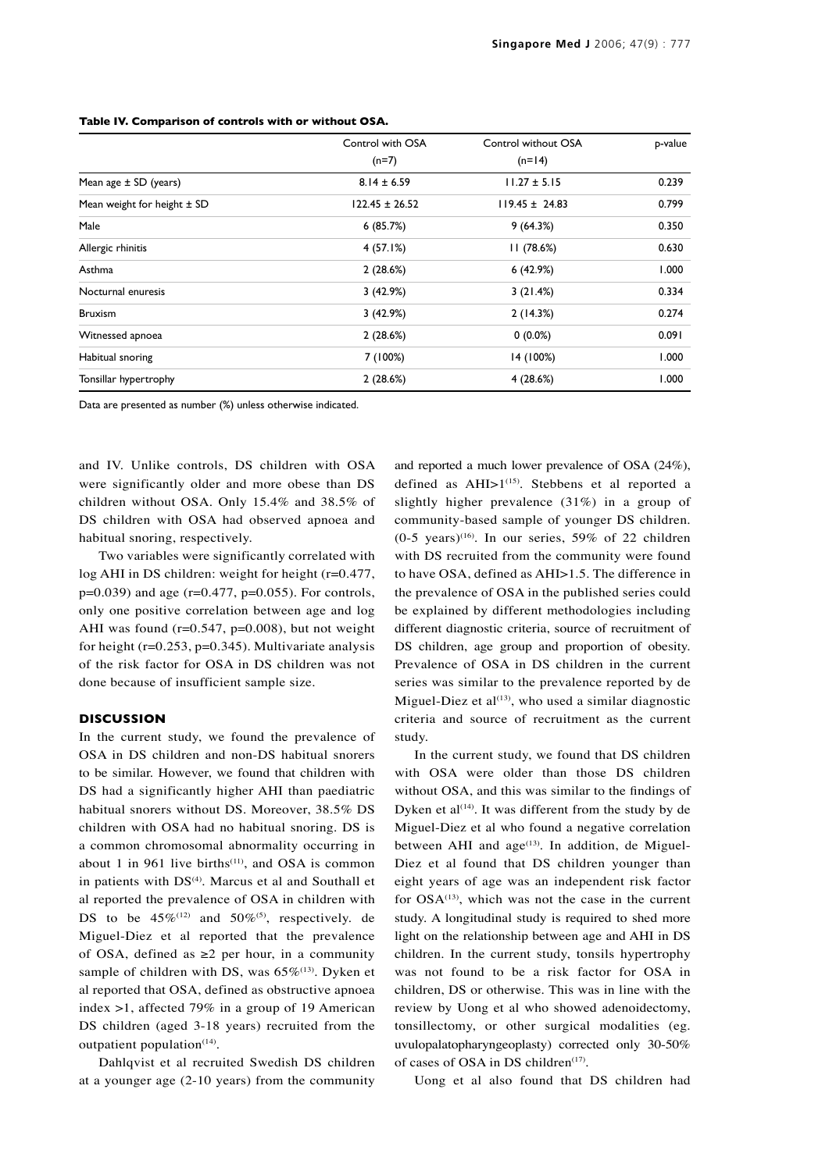|                                 | Control with OSA<br>$(n=7)$ | Control without OSA<br>$(n=14)$ | p-value |
|---------------------------------|-----------------------------|---------------------------------|---------|
|                                 |                             |                                 |         |
| Mean age $\pm$ SD (years)       | $8.14 \pm 6.59$             | $11.27 \pm 5.15$                | 0.239   |
| Mean weight for height $\pm$ SD | $122.45 \pm 26.52$          | $119.45 \pm 24.83$              | 0.799   |
| Male                            | 6(85.7%)                    | 9(64.3%)                        | 0.350   |
| Allergic rhinitis               | 4 (57.1%)                   | 11(78.6%)                       | 0.630   |
| Asthma                          | 2(28.6%)                    | 6(42.9%)                        | 1.000   |
| Nocturnal enuresis              | 3(42.9%)                    | 3(21.4%)                        | 0.334   |
| <b>Bruxism</b>                  | 3(42.9%)                    | 2(14.3%)                        | 0.274   |
| Witnessed apnoea                | 2(28.6%)                    | $0(0.0\%)$                      | 0.091   |
| Habitual snoring                | 7 (100%)                    | 14 (100%)                       | 1.000   |
| Tonsillar hypertrophy           | 2(28.6%)                    | 4(28.6%)                        | 1.000   |

#### **Table IV. Comparison of controls with or without OSA.**

Data are presented as number (%) unless otherwise indicated.

and IV. Unlike controls, DS children with OSA were significantly older and more obese than DS children without OSA. Only 15.4% and 38.5% of DS children with OSA had observed apnoea and habitual snoring, respectively.

Two variables were significantly correlated with log AHI in DS children: weight for height (r=0.477,  $p=0.039$ ) and age (r=0.477, p=0.055). For controls, only one positive correlation between age and log AHI was found ( $r=0.547$ ,  $p=0.008$ ), but not weight for height ( $r=0.253$ ,  $p=0.345$ ). Multivariate analysis of the risk factor for OSA in DS children was not done because of insufficient sample size.

## **DISCUSSION**

In the current study, we found the prevalence of OSA in DS children and non-DS habitual snorers to be similar. However, we found that children with DS had a significantly higher AHI than paediatric habitual snorers without DS. Moreover, 38.5% DS children with OSA had no habitual snoring. DS is a common chromosomal abnormality occurring in about 1 in 961 live births<sup> $(11)$ </sup>, and OSA is common in patients with DS<sup>(4)</sup>. Marcus et al and Southall et al reported the prevalence of OSA in children with DS to be  $45\%^{(12)}$  and  $50\%^{(5)}$ , respectively. de Miguel-Diez et al reported that the prevalence of OSA, defined as  $\geq 2$  per hour, in a community sample of children with DS, was  $65\%^{(13)}$ . Dyken et al reported that OSA, defined as obstructive apnoea index >1, affected 79% in a group of 19 American DS children (aged 3-18 years) recruited from the outpatient population $(14)$ .

Dahlqvist et al recruited Swedish DS children at a younger age (2-10 years) from the community and reported a much lower prevalence of OSA (24%), defined as  $AHI>1^{(15)}$ . Stebbens et al reported a slightly higher prevalence (31%) in a group of community-based sample of younger DS children.  $(0-5 \text{ years})$ <sup>(16)</sup>. In our series, 59% of 22 children with DS recruited from the community were found to have OSA, defined as AHI>1.5. The difference in the prevalence of OSA in the published series could be explained by different methodologies including different diagnostic criteria, source of recruitment of DS children, age group and proportion of obesity. Prevalence of OSA in DS children in the current series was similar to the prevalence reported by de Miguel-Diez et al $(13)$ , who used a similar diagnostic criteria and source of recruitment as the current study.

In the current study, we found that DS children with OSA were older than those DS children without OSA, and this was similar to the findings of Dyken et al $(14)$ . It was different from the study by de Miguel-Diez et al who found a negative correlation between AHI and  $age^{(13)}$ . In addition, de Miguel-Diez et al found that DS children younger than eight years of age was an independent risk factor for  $OSA^{(13)}$ , which was not the case in the current study. A longitudinal study is required to shed more light on the relationship between age and AHI in DS children. In the current study, tonsils hypertrophy was not found to be a risk factor for OSA in children, DS or otherwise. This was in line with the review by Uong et al who showed adenoidectomy, tonsillectomy, or other surgical modalities (eg. uvulopalatopharyngeoplasty) corrected only 30-50% of cases of OSA in DS children<sup>(17)</sup>.

Uong et al also found that DS children had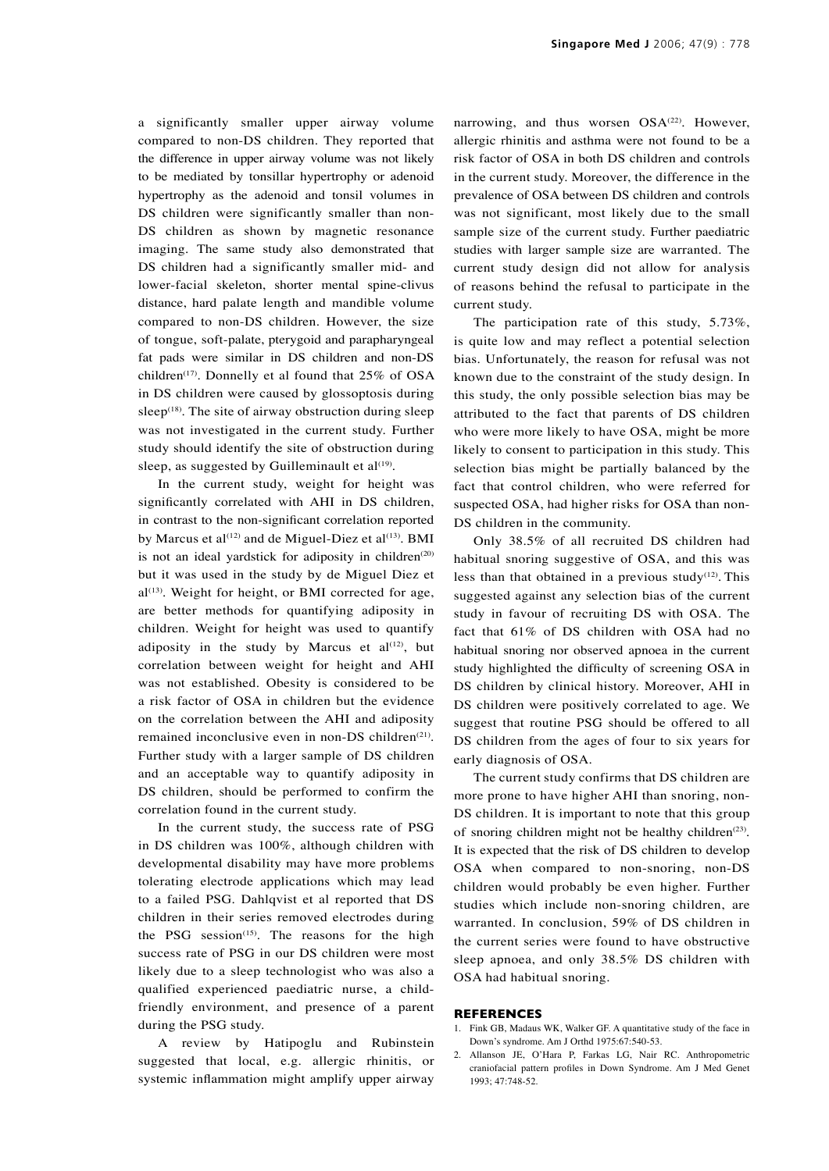a significantly smaller upper airway volume compared to non-DS children. They reported that the difference in upper airway volume was not likely to be mediated by tonsillar hypertrophy or adenoid hypertrophy as the adenoid and tonsil volumes in DS children were significantly smaller than non-DS children as shown by magnetic resonance imaging. The same study also demonstrated that DS children had a significantly smaller mid- and lower-facial skeleton, shorter mental spine-clivus distance, hard palate length and mandible volume compared to non-DS children. However, the size of tongue, soft-palate, pterygoid and parapharyngeal fat pads were similar in DS children and non-DS children<sup>(17)</sup>. Donnelly et al found that  $25\%$  of OSA in DS children were caused by glossoptosis during sleep<sup> $(18)$ </sup>. The site of airway obstruction during sleep was not investigated in the current study. Further study should identify the site of obstruction during sleep, as suggested by Guilleminault et al $(19)$ .

In the current study, weight for height was significantly correlated with AHI in DS children, in contrast to the non-significant correlation reported by Marcus et al<sup>(12)</sup> and de Miguel-Diez et al<sup>(13)</sup>. BMI is not an ideal yardstick for adiposity in children $(20)$ but it was used in the study by de Miguel Diez et  $al^{(13)}$ . Weight for height, or BMI corrected for age, are better methods for quantifying adiposity in children. Weight for height was used to quantify adiposity in the study by Marcus et  $al^{(12)}$ , but correlation between weight for height and AHI was not established. Obesity is considered to be a risk factor of OSA in children but the evidence on the correlation between the AHI and adiposity remained inconclusive even in non-DS children<sup>(21)</sup>. Further study with a larger sample of DS children and an acceptable way to quantify adiposity in DS children, should be performed to confirm the correlation found in the current study.

In the current study, the success rate of PSG in DS children was 100%, although children with developmental disability may have more problems tolerating electrode applications which may lead to a failed PSG. Dahlqvist et al reported that DS children in their series removed electrodes during the PSG session<sup> $(15)$ </sup>. The reasons for the high success rate of PSG in our DS children were most likely due to a sleep technologist who was also a qualified experienced paediatric nurse, a childfriendly environment, and presence of a parent during the PSG study.

A review by Hatipoglu and Rubinstein suggested that local, e.g. allergic rhinitis, or systemic inflammation might amplify upper airway narrowing, and thus worsen OSA<sup>(22)</sup>. However, allergic rhinitis and asthma were not found to be a risk factor of OSA in both DS children and controls in the current study. Moreover, the difference in the prevalence of OSA between DS children and controls was not significant, most likely due to the small sample size of the current study. Further paediatric studies with larger sample size are warranted. The current study design did not allow for analysis of reasons behind the refusal to participate in the current study.

The participation rate of this study, 5.73%, is quite low and may reflect a potential selection bias. Unfortunately, the reason for refusal was not known due to the constraint of the study design. In this study, the only possible selection bias may be attributed to the fact that parents of DS children who were more likely to have OSA, might be more likely to consent to participation in this study. This selection bias might be partially balanced by the fact that control children, who were referred for suspected OSA, had higher risks for OSA than non-DS children in the community.

Only 38.5% of all recruited DS children had habitual snoring suggestive of OSA, and this was less than that obtained in a previous study $(12)$ . This suggested against any selection bias of the current study in favour of recruiting DS with OSA. The fact that 61% of DS children with OSA had no habitual snoring nor observed apnoea in the current study highlighted the difficulty of screening OSA in DS children by clinical history. Moreover, AHI in DS children were positively correlated to age. We suggest that routine PSG should be offered to all DS children from the ages of four to six years for early diagnosis of OSA.

The current study confirms that DS children are more prone to have higher AHI than snoring, non-DS children. It is important to note that this group of snoring children might not be healthy children<sup> $(23)$ </sup>. It is expected that the risk of DS children to develop OSA when compared to non-snoring, non-DS children would probably be even higher. Further studies which include non-snoring children, are warranted. In conclusion, 59% of DS children in the current series were found to have obstructive sleep apnoea, and only 38.5% DS children with OSA had habitual snoring.

#### **REFERENCES**

- 1. Fink GB, Madaus WK, Walker GF. A quantitative study of the face in Down's syndrome. Am J Orthd 1975:67:540-53.
- 2. Allanson JE, O'Hara P, Farkas LG, Nair RC. Anthropometric craniofacial pattern profiles in Down Syndrome. Am J Med Genet 1993; 47:748-52.